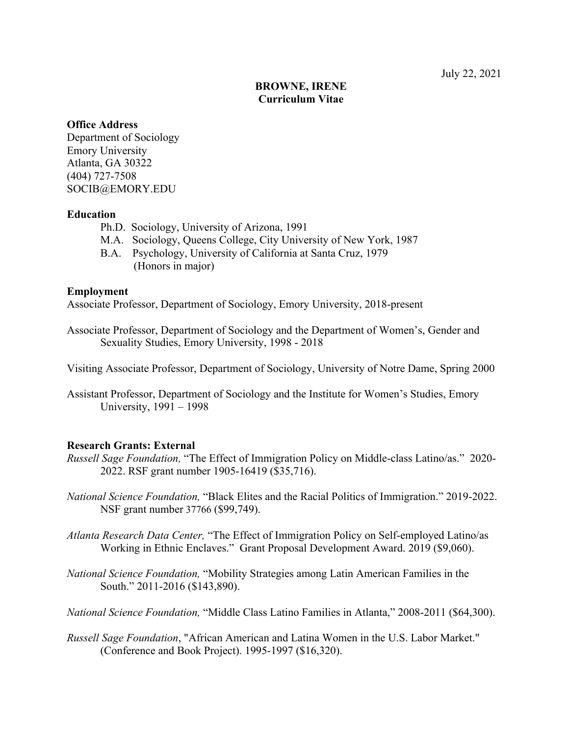# **BROWNE, IRENE Curriculum Vitae**

# **Office Address**

Department of Sociology Emory University Atlanta, GA 30322 (404) 727-7508 SOCIB@EMORY.EDU

# **Education**

- Ph.D. Sociology, University of Arizona, 1991
- M.A. Sociology, Queens College, City University of New York, 1987
- B.A. Psychology, University of California at Santa Cruz, 1979 (Honors in major)

# **Employment**

Associate Professor, Department of Sociology, Emory University, 2018-present

Associate Professor, Department of Sociology and the Department of Women's, Gender and Sexuality Studies, Emory University, 1998 - 2018

Visiting Associate Professor, Department of Sociology, University of Notre Dame, Spring 2000

Assistant Professor, Department of Sociology and the Institute for Women's Studies, Emory University, 1991 – 1998

# **Research Grants: External**

- *Russell Sage Foundation,* "The Effect of Immigration Policy on Middle-class Latino/as." 2020- 2022. RSF grant number 1905-16419 (\$35,716).
- *National Science Foundation,* "Black Elites and the Racial Politics of Immigration." 2019-2022. NSF grant number 37766 (\$99,749).
- *Atlanta Research Data Center,* "The Effect of Immigration Policy on Self-employed Latino/as Working in Ethnic Enclaves." Grant Proposal Development Award. 2019 (\$9,060).
- *National Science Foundation,* "Mobility Strategies among Latin American Families in the South." 2011-2016 (\$143,890).

*National Science Foundation,* "Middle Class Latino Families in Atlanta," 2008-2011 (\$64,300).

*Russell Sage Foundation*, "African American and Latina Women in the U.S. Labor Market." (Conference and Book Project). 1995-1997 (\$16,320).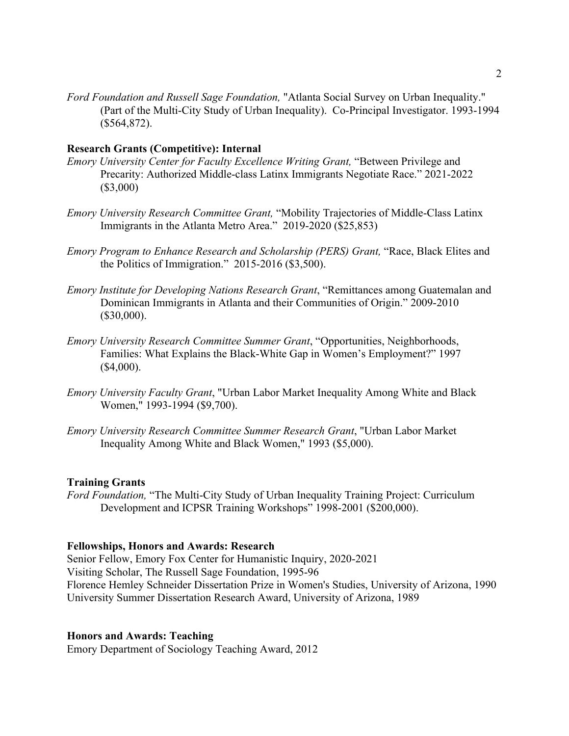*Ford Foundation and Russell Sage Foundation,* "Atlanta Social Survey on Urban Inequality." (Part of the Multi-City Study of Urban Inequality). Co-Principal Investigator. 1993-1994 (\$564,872).

## **Research Grants (Competitive): Internal**

- *Emory University Center for Faculty Excellence Writing Grant,* "Between Privilege and Precarity: Authorized Middle-class Latinx Immigrants Negotiate Race." 2021-2022 (\$3,000)
- *Emory University Research Committee Grant,* "Mobility Trajectories of Middle-Class Latinx Immigrants in the Atlanta Metro Area." 2019-2020 (\$25,853)
- *Emory Program to Enhance Research and Scholarship (PERS) Grant,* "Race, Black Elites and the Politics of Immigration." 2015-2016 (\$3,500).
- *Emory Institute for Developing Nations Research Grant*, "Remittances among Guatemalan and Dominican Immigrants in Atlanta and their Communities of Origin." 2009-2010 (\$30,000).
- *Emory University Research Committee Summer Grant*, "Opportunities, Neighborhoods, Families: What Explains the Black-White Gap in Women's Employment?" 1997  $($4,000)$ .
- *Emory University Faculty Grant*, "Urban Labor Market Inequality Among White and Black Women," 1993-1994 (\$9,700).
- *Emory University Research Committee Summer Research Grant*, "Urban Labor Market Inequality Among White and Black Women," 1993 (\$5,000).

## **Training Grants**

*Ford Foundation,* "The Multi-City Study of Urban Inequality Training Project: Curriculum Development and ICPSR Training Workshops" 1998-2001 (\$200,000).

# **Fellowships, Honors and Awards: Research**

Senior Fellow, Emory Fox Center for Humanistic Inquiry, 2020-2021 Visiting Scholar, The Russell Sage Foundation, 1995-96 Florence Hemley Schneider Dissertation Prize in Women's Studies, University of Arizona, 1990 University Summer Dissertation Research Award, University of Arizona, 1989

# **Honors and Awards: Teaching**

Emory Department of Sociology Teaching Award, 2012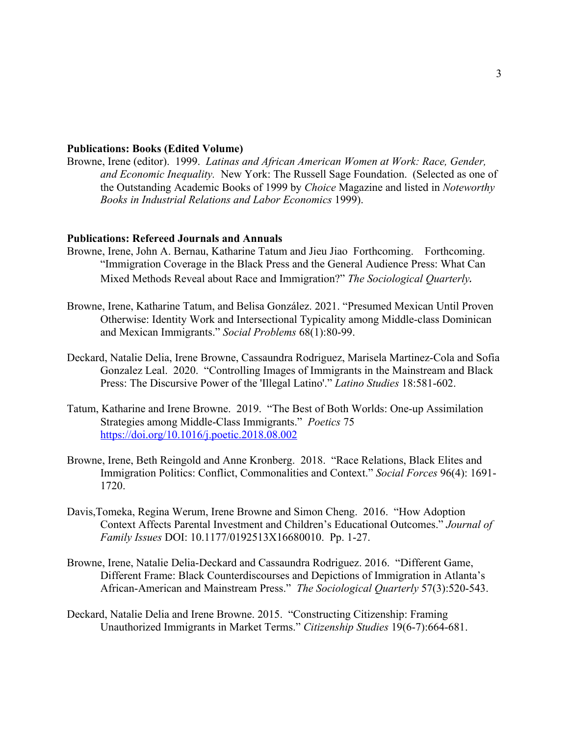## **Publications: Books (Edited Volume)**

Browne, Irene (editor). 1999. *Latinas and African American Women at Work: Race, Gender, and Economic Inequality.* New York: The Russell Sage Foundation. (Selected as one of the Outstanding Academic Books of 1999 by *Choice* Magazine and listed in *Noteworthy Books in Industrial Relations and Labor Economics* 1999).

#### **Publications: Refereed Journals and Annuals**

- Browne, Irene, John A. Bernau, Katharine Tatum and Jieu Jiao Forthcoming. Forthcoming. "Immigration Coverage in the Black Press and the General Audience Press: What Can Mixed Methods Reveal about Race and Immigration?" *The Sociological Quarterly.*
- Browne, Irene, Katharine Tatum, and Belisa González. 2021. "Presumed Mexican Until Proven Otherwise: Identity Work and Intersectional Typicality among Middle-class Dominican and Mexican Immigrants." *Social Problems* 68(1):80-99.
- Deckard, Natalie Delia, Irene Browne, Cassaundra Rodriguez, Marisela Martinez-Cola and Sofia Gonzalez Leal. 2020. "Controlling Images of Immigrants in the Mainstream and Black Press: The Discursive Power of the 'Illegal Latino'." *Latino Studies* 18:581-602.
- Tatum, Katharine and Irene Browne. 2019. "The Best of Both Worlds: One-up Assimilation Strategies among Middle-Class Immigrants." *Poetics* 75 https://doi.org/10.1016/j.poetic.2018.08.002
- Browne, Irene, Beth Reingold and Anne Kronberg. 2018. "Race Relations, Black Elites and Immigration Politics: Conflict, Commonalities and Context." *Social Forces* 96(4): 1691- 1720.
- Davis,Tomeka, Regina Werum, Irene Browne and Simon Cheng. 2016. "How Adoption Context Affects Parental Investment and Children's Educational Outcomes." *Journal of Family Issues* DOI: 10.1177/0192513X16680010. Pp. 1-27.
- Browne, Irene, Natalie Delia-Deckard and Cassaundra Rodriguez. 2016. "Different Game, Different Frame: Black Counterdiscourses and Depictions of Immigration in Atlanta's African-American and Mainstream Press." *The Sociological Quarterly* 57(3):520-543.
- Deckard, Natalie Delia and Irene Browne. 2015. "Constructing Citizenship: Framing Unauthorized Immigrants in Market Terms." *Citizenship Studies* 19(6-7):664-681.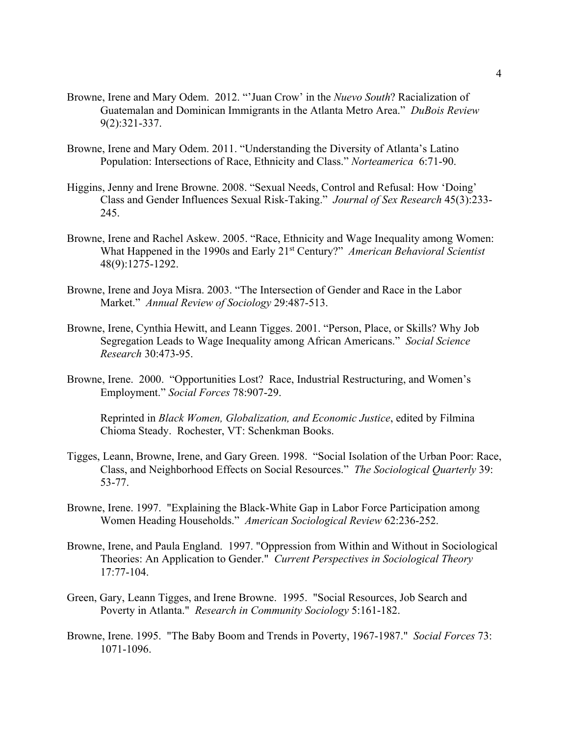- Browne, Irene and Mary Odem. 2012. "'Juan Crow' in the *Nuevo South*? Racialization of Guatemalan and Dominican Immigrants in the Atlanta Metro Area." *DuBois Review* 9(2):321-337.
- Browne, Irene and Mary Odem. 2011. "Understanding the Diversity of Atlanta's Latino Population: Intersections of Race, Ethnicity and Class." *Norteamerica* 6:71-90.
- Higgins, Jenny and Irene Browne. 2008. "Sexual Needs, Control and Refusal: How 'Doing' Class and Gender Influences Sexual Risk-Taking." *Journal of Sex Research* 45(3):233- 245.
- Browne, Irene and Rachel Askew. 2005. "Race, Ethnicity and Wage Inequality among Women: What Happened in the 1990s and Early 21st Century?" *American Behavioral Scientist* 48(9):1275-1292.
- Browne, Irene and Joya Misra. 2003. "The Intersection of Gender and Race in the Labor Market." *Annual Review of Sociology* 29:487-513.
- Browne, Irene, Cynthia Hewitt, and Leann Tigges. 2001. "Person, Place, or Skills? Why Job Segregation Leads to Wage Inequality among African Americans." *Social Science Research* 30:473-95.
- Browne, Irene. 2000. "Opportunities Lost? Race, Industrial Restructuring, and Women's Employment." *Social Forces* 78:907-29.

Reprinted in *Black Women, Globalization, and Economic Justice*, edited by Filmina Chioma Steady. Rochester, VT: Schenkman Books.

- Tigges, Leann, Browne, Irene, and Gary Green. 1998. "Social Isolation of the Urban Poor: Race, Class, and Neighborhood Effects on Social Resources." *The Sociological Quarterly* 39: 53-77.
- Browne, Irene. 1997. "Explaining the Black-White Gap in Labor Force Participation among Women Heading Households." *American Sociological Review* 62:236-252.
- Browne, Irene, and Paula England. 1997. "Oppression from Within and Without in Sociological Theories: An Application to Gender." *Current Perspectives in Sociological Theory*  17:77-104.
- Green, Gary, Leann Tigges, and Irene Browne. 1995. "Social Resources, Job Search and Poverty in Atlanta." *Research in Community Sociology* 5:161-182.
- Browne, Irene. 1995. "The Baby Boom and Trends in Poverty, 1967-1987." *Social Forces* 73: 1071-1096.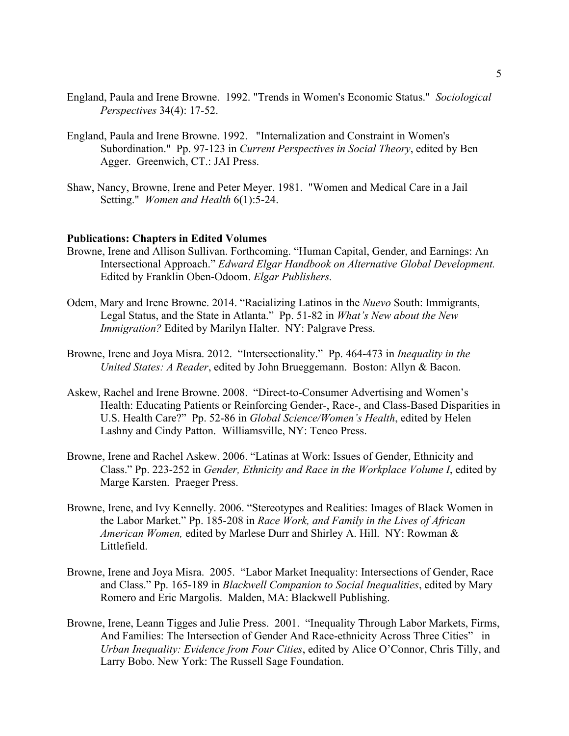- England, Paula and Irene Browne. 1992. "Trends in Women's Economic Status." *Sociological Perspectives* 34(4): 17-52.
- England, Paula and Irene Browne. 1992. "Internalization and Constraint in Women's Subordination." Pp. 97-123 in *Current Perspectives in Social Theory*, edited by Ben Agger. Greenwich, CT.: JAI Press.
- Shaw, Nancy, Browne, Irene and Peter Meyer. 1981. "Women and Medical Care in a Jail Setting." *Women and Health* 6(1):5-24.

## **Publications: Chapters in Edited Volumes**

- Browne, Irene and Allison Sullivan. Forthcoming. "Human Capital, Gender, and Earnings: An Intersectional Approach." *Edward Elgar Handbook on Alternative Global Development.*  Edited by Franklin Oben-Odoom. *Elgar Publishers.*
- Odem, Mary and Irene Browne. 2014. "Racializing Latinos in the *Nuevo* South: Immigrants, Legal Status, and the State in Atlanta." Pp. 51-82 in *What's New about the New Immigration?* Edited by Marilyn Halter. NY: Palgrave Press.
- Browne, Irene and Joya Misra. 2012. "Intersectionality." Pp. 464-473 in *Inequality in the United States: A Reader*, edited by John Brueggemann. Boston: Allyn & Bacon.
- Askew, Rachel and Irene Browne. 2008. "Direct-to-Consumer Advertising and Women's Health: Educating Patients or Reinforcing Gender-, Race-, and Class-Based Disparities in U.S. Health Care?" Pp. 52-86 in *Global Science/Women's Health*, edited by Helen Lashny and Cindy Patton. Williamsville, NY: Teneo Press.
- Browne, Irene and Rachel Askew. 2006. "Latinas at Work: Issues of Gender, Ethnicity and Class." Pp. 223-252 in *Gender, Ethnicity and Race in the Workplace Volume I*, edited by Marge Karsten. Praeger Press.
- Browne, Irene, and Ivy Kennelly. 2006. "Stereotypes and Realities: Images of Black Women in the Labor Market." Pp. 185-208 in *Race Work, and Family in the Lives of African American Women,* edited by Marlese Durr and Shirley A. Hill. NY: Rowman & Littlefield.
- Browne, Irene and Joya Misra. 2005. "Labor Market Inequality: Intersections of Gender, Race and Class." Pp. 165-189 in *Blackwell Companion to Social Inequalities*, edited by Mary Romero and Eric Margolis. Malden, MA: Blackwell Publishing.
- Browne, Irene, Leann Tigges and Julie Press. 2001. "Inequality Through Labor Markets, Firms, And Families: The Intersection of Gender And Race-ethnicity Across Three Cities" in *Urban Inequality: Evidence from Four Cities*, edited by Alice O'Connor, Chris Tilly, and Larry Bobo. New York: The Russell Sage Foundation.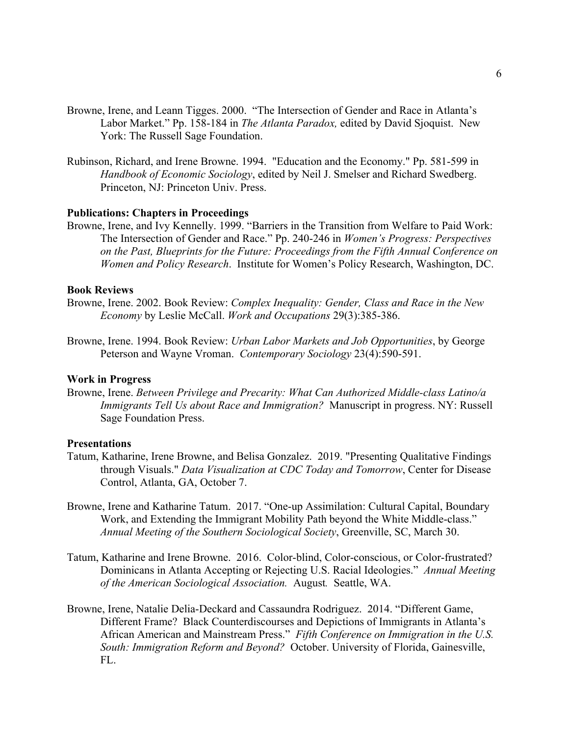- Browne, Irene, and Leann Tigges. 2000. "The Intersection of Gender and Race in Atlanta's Labor Market." Pp. 158-184 in *The Atlanta Paradox,* edited by David Sjoquist. New York: The Russell Sage Foundation.
- Rubinson, Richard, and Irene Browne. 1994. "Education and the Economy." Pp. 581-599 in *Handbook of Economic Sociology*, edited by Neil J. Smelser and Richard Swedberg. Princeton, NJ: Princeton Univ. Press.

#### **Publications: Chapters in Proceedings**

Browne, Irene, and Ivy Kennelly. 1999. "Barriers in the Transition from Welfare to Paid Work: The Intersection of Gender and Race." Pp. 240-246 in *Women's Progress: Perspectives on the Past, Blueprints for the Future: Proceedings from the Fifth Annual Conference on Women and Policy Research*. Institute for Women's Policy Research, Washington, DC.

#### **Book Reviews**

- Browne, Irene. 2002. Book Review: *Complex Inequality: Gender, Class and Race in the New Economy* by Leslie McCall. *Work and Occupations* 29(3):385-386.
- Browne, Irene. 1994. Book Review: *Urban Labor Markets and Job Opportunities*, by George Peterson and Wayne Vroman. *Contemporary Sociology* 23(4):590-591.

### **Work in Progress**

Browne, Irene. *Between Privilege and Precarity: What Can Authorized Middle-class Latino/a Immigrants Tell Us about Race and Immigration?* Manuscript in progress. NY: Russell Sage Foundation Press.

#### **Presentations**

- Tatum, Katharine, Irene Browne, and Belisa Gonzalez. 2019. "Presenting Qualitative Findings through Visuals." *Data Visualization at CDC Today and Tomorrow*, Center for Disease Control, Atlanta, GA, October 7.
- Browne, Irene and Katharine Tatum. 2017. "One-up Assimilation: Cultural Capital, Boundary Work, and Extending the Immigrant Mobility Path beyond the White Middle-class." *Annual Meeting of the Southern Sociological Society*, Greenville, SC, March 30.
- Tatum, Katharine and Irene Browne. 2016. Color-blind, Color-conscious, or Color-frustrated? Dominicans in Atlanta Accepting or Rejecting U.S. Racial Ideologies." *Annual Meeting of the American Sociological Association.* August*.* Seattle, WA.
- Browne, Irene, Natalie Delia-Deckard and Cassaundra Rodriguez. 2014. "Different Game, Different Frame? Black Counterdiscourses and Depictions of Immigrants in Atlanta's African American and Mainstream Press." *Fifth Conference on Immigration in the U.S. South: Immigration Reform and Beyond?* October. University of Florida, Gainesville, FL.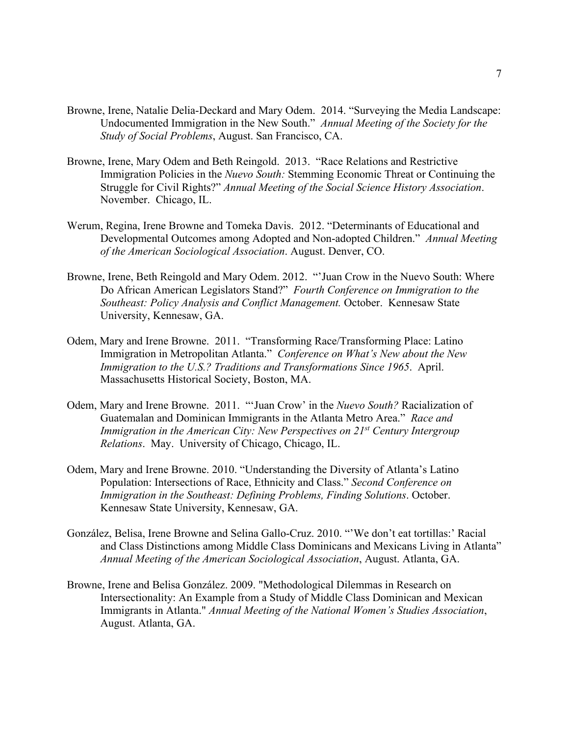- Browne, Irene, Natalie Delia-Deckard and Mary Odem. 2014. "Surveying the Media Landscape: Undocumented Immigration in the New South." *Annual Meeting of the Society for the Study of Social Problems*, August. San Francisco, CA.
- Browne, Irene, Mary Odem and Beth Reingold. 2013. "Race Relations and Restrictive Immigration Policies in the *Nuevo South:* Stemming Economic Threat or Continuing the Struggle for Civil Rights?" *Annual Meeting of the Social Science History Association*. November. Chicago, IL.
- Werum, Regina, Irene Browne and Tomeka Davis. 2012. "Determinants of Educational and Developmental Outcomes among Adopted and Non-adopted Children." *Annual Meeting of the American Sociological Association*. August. Denver, CO.
- Browne, Irene, Beth Reingold and Mary Odem. 2012. "'Juan Crow in the Nuevo South: Where Do African American Legislators Stand?" *Fourth Conference on Immigration to the Southeast: Policy Analysis and Conflict Management.* October. Kennesaw State University, Kennesaw, GA.
- Odem, Mary and Irene Browne. 2011. "Transforming Race/Transforming Place: Latino Immigration in Metropolitan Atlanta." *Conference on What's New about the New Immigration to the U.S.? Traditions and Transformations Since 1965*. April. Massachusetts Historical Society, Boston, MA.
- Odem, Mary and Irene Browne. 2011. "'Juan Crow' in the *Nuevo South?* Racialization of Guatemalan and Dominican Immigrants in the Atlanta Metro Area." *Race and Immigration in the American City: New Perspectives on 21st Century Intergroup Relations*. May. University of Chicago, Chicago, IL.
- Odem, Mary and Irene Browne. 2010. "Understanding the Diversity of Atlanta's Latino Population: Intersections of Race, Ethnicity and Class." *Second Conference on Immigration in the Southeast: Defining Problems, Finding Solutions*. October. Kennesaw State University, Kennesaw, GA.
- González, Belisa, Irene Browne and Selina Gallo-Cruz. 2010. "'We don't eat tortillas:' Racial and Class Distinctions among Middle Class Dominicans and Mexicans Living in Atlanta" *Annual Meeting of the American Sociological Association*, August. Atlanta, GA.
- Browne, Irene and Belisa González. 2009. "Methodological Dilemmas in Research on Intersectionality: An Example from a Study of Middle Class Dominican and Mexican Immigrants in Atlanta." *Annual Meeting of the National Women's Studies Association*, August. Atlanta, GA.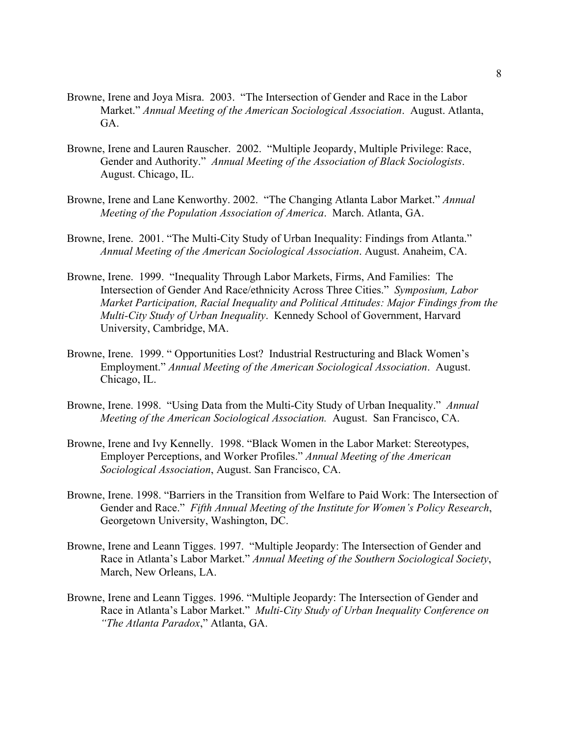- Browne, Irene and Joya Misra. 2003. "The Intersection of Gender and Race in the Labor Market." *Annual Meeting of the American Sociological Association*. August. Atlanta, GA.
- Browne, Irene and Lauren Rauscher. 2002. "Multiple Jeopardy, Multiple Privilege: Race, Gender and Authority." *Annual Meeting of the Association of Black Sociologists*. August. Chicago, IL.
- Browne, Irene and Lane Kenworthy. 2002. "The Changing Atlanta Labor Market." *Annual Meeting of the Population Association of America*. March. Atlanta, GA.
- Browne, Irene. 2001. "The Multi-City Study of Urban Inequality: Findings from Atlanta." *Annual Meeting of the American Sociological Association*. August. Anaheim, CA.
- Browne, Irene. 1999. "Inequality Through Labor Markets, Firms, And Families: The Intersection of Gender And Race/ethnicity Across Three Cities." *Symposium, Labor Market Participation, Racial Inequality and Political Attitudes: Major Findings from the Multi-City Study of Urban Inequality*. Kennedy School of Government, Harvard University, Cambridge, MA.
- Browne, Irene. 1999. " Opportunities Lost? Industrial Restructuring and Black Women's Employment." *Annual Meeting of the American Sociological Association*. August. Chicago, IL.
- Browne, Irene. 1998. "Using Data from the Multi-City Study of Urban Inequality." *Annual Meeting of the American Sociological Association.* August. San Francisco, CA.
- Browne, Irene and Ivy Kennelly. 1998. "Black Women in the Labor Market: Stereotypes, Employer Perceptions, and Worker Profiles." *Annual Meeting of the American Sociological Association*, August. San Francisco, CA.
- Browne, Irene. 1998. "Barriers in the Transition from Welfare to Paid Work: The Intersection of Gender and Race." *Fifth Annual Meeting of the Institute for Women's Policy Research*, Georgetown University, Washington, DC.
- Browne, Irene and Leann Tigges. 1997. "Multiple Jeopardy: The Intersection of Gender and Race in Atlanta's Labor Market." *Annual Meeting of the Southern Sociological Society*, March, New Orleans, LA.
- Browne, Irene and Leann Tigges. 1996. "Multiple Jeopardy: The Intersection of Gender and Race in Atlanta's Labor Market." *Multi-City Study of Urban Inequality Conference on "The Atlanta Paradox*," Atlanta, GA.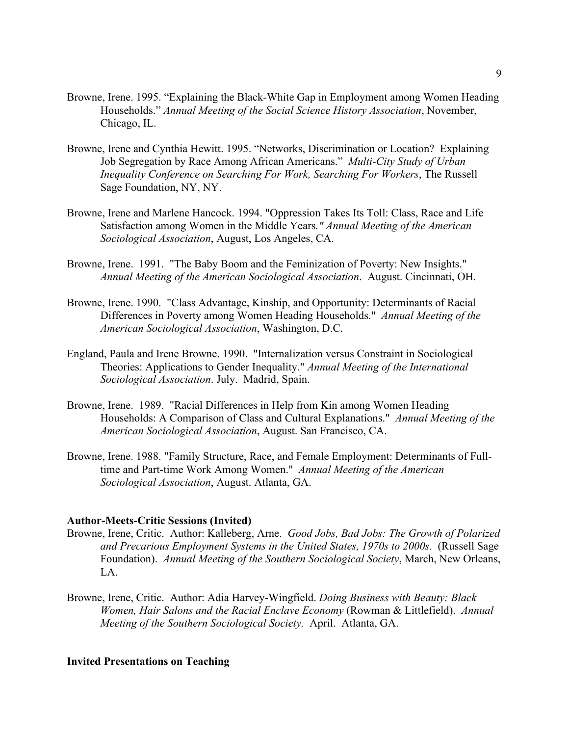- Browne, Irene. 1995. "Explaining the Black-White Gap in Employment among Women Heading Households." *Annual Meeting of the Social Science History Association*, November, Chicago, IL.
- Browne, Irene and Cynthia Hewitt. 1995. "Networks, Discrimination or Location? Explaining Job Segregation by Race Among African Americans." *Multi-City Study of Urban Inequality Conference on Searching For Work, Searching For Workers*, The Russell Sage Foundation, NY, NY.
- Browne, Irene and Marlene Hancock. 1994. "Oppression Takes Its Toll: Class, Race and Life Satisfaction among Women in the Middle Years*." Annual Meeting of the American Sociological Association*, August, Los Angeles, CA.
- Browne, Irene. 1991. "The Baby Boom and the Feminization of Poverty: New Insights." *Annual Meeting of the American Sociological Association*. August. Cincinnati, OH.
- Browne, Irene. 1990. "Class Advantage, Kinship, and Opportunity: Determinants of Racial Differences in Poverty among Women Heading Households." *Annual Meeting of the American Sociological Association*, Washington, D.C.
- England, Paula and Irene Browne. 1990. "Internalization versus Constraint in Sociological Theories: Applications to Gender Inequality." *Annual Meeting of the International Sociological Association*. July. Madrid, Spain.
- Browne, Irene. 1989. "Racial Differences in Help from Kin among Women Heading Households: A Comparison of Class and Cultural Explanations." *Annual Meeting of the American Sociological Association*, August. San Francisco, CA.
- Browne, Irene. 1988. "Family Structure, Race, and Female Employment: Determinants of Fulltime and Part-time Work Among Women." *Annual Meeting of the American Sociological Association*, August. Atlanta, GA.

# **Author-Meets-Critic Sessions (Invited)**

- Browne, Irene, Critic. Author: Kalleberg, Arne. *Good Jobs, Bad Jobs: The Growth of Polarized and Precarious Employment Systems in the United States, 1970s to 2000s.* (Russell Sage Foundation). *Annual Meeting of the Southern Sociological Society*, March, New Orleans, LA.
- Browne, Irene, Critic. Author: Adia Harvey-Wingfield. *Doing Business with Beauty: Black Women, Hair Salons and the Racial Enclave Economy* (Rowman & Littlefield). *Annual Meeting of the Southern Sociological Society.* April. Atlanta, GA.

# **Invited Presentations on Teaching**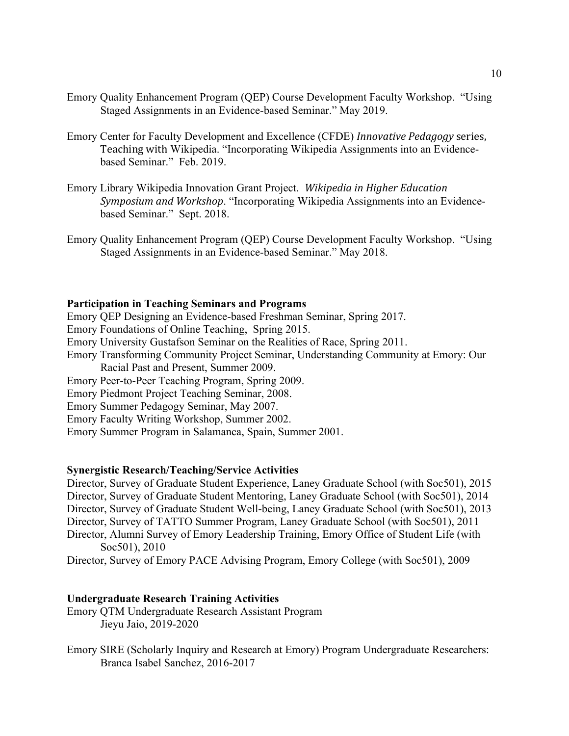- Emory Quality Enhancement Program (QEP) Course Development Faculty Workshop. "Using Staged Assignments in an Evidence-based Seminar." May 2019.
- Emory Center for Faculty Development and Excellence (CFDE) *Innovative Pedagogy* series, Teaching with Wikipedia. "Incorporating Wikipedia Assignments into an Evidencebased Seminar." Feb. 2019.
- Emory Library Wikipedia Innovation Grant Project. Wikipedia in Higher Education *Symposium and Workshop*. "Incorporating Wikipedia Assignments into an Evidencebased Seminar." Sept. 2018.
- Emory Quality Enhancement Program (QEP) Course Development Faculty Workshop. "Using Staged Assignments in an Evidence-based Seminar." May 2018.

## **Participation in Teaching Seminars and Programs**

Emory QEP Designing an Evidence-based Freshman Seminar, Spring 2017.

Emory Foundations of Online Teaching, Spring 2015.

Emory University Gustafson Seminar on the Realities of Race, Spring 2011.

- Emory Transforming Community Project Seminar, Understanding Community at Emory: Our Racial Past and Present, Summer 2009.
- Emory Peer-to-Peer Teaching Program, Spring 2009.

Emory Piedmont Project Teaching Seminar, 2008.

- Emory Summer Pedagogy Seminar, May 2007.
- Emory Faculty Writing Workshop, Summer 2002.
- Emory Summer Program in Salamanca, Spain, Summer 2001.

## **Synergistic Research/Teaching/Service Activities**

Director, Survey of Graduate Student Experience, Laney Graduate School (with Soc501), 2015 Director, Survey of Graduate Student Mentoring, Laney Graduate School (with Soc501), 2014 Director, Survey of Graduate Student Well-being, Laney Graduate School (with Soc501), 2013 Director, Survey of TATTO Summer Program, Laney Graduate School (with Soc501), 2011 Director, Alumni Survey of Emory Leadership Training, Emory Office of Student Life (with Soc501), 2010

Director, Survey of Emory PACE Advising Program, Emory College (with Soc501), 2009

### **Undergraduate Research Training Activities**

- Emory QTM Undergraduate Research Assistant Program Jieyu Jaio, 2019-2020
- Emory SIRE (Scholarly Inquiry and Research at Emory) Program Undergraduate Researchers: Branca Isabel Sanchez, 2016-2017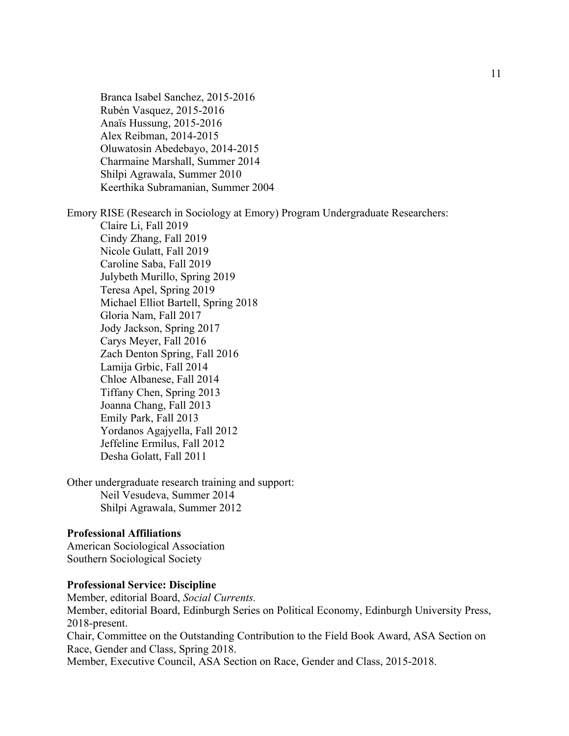Branca Isabel Sanchez, 2015-2016 Rubén Vasquez, 2015-2016 Anaïs Hussung, 2015-2016 Alex Reibman, 2014-2015 Oluwatosin Abedebayo, 2014-2015 Charmaine Marshall, Summer 2014 Shilpi Agrawala, Summer 2010 Keerthika Subramanian, Summer 2004

Emory RISE (Research in Sociology at Emory) Program Undergraduate Researchers: Claire Li, Fall 2019 Cindy Zhang, Fall 2019 Nicole Gulatt, Fall 2019 Caroline Saba, Fall 2019 Julybeth Murillo, Spring 2019 Teresa Apel, Spring 2019 Michael Elliot Bartell, Spring 2018 Gloria Nam, Fall 2017 Jody Jackson, Spring 2017 Carys Meyer, Fall 2016 Zach Denton Spring, Fall 2016 Lamija Grbic, Fall 2014 Chloe Albanese, Fall 2014 Tiffany Chen, Spring 2013 Joanna Chang, Fall 2013 Emily Park, Fall 2013 Yordanos Agajyella, Fall 2012 Jeffeline Ermilus, Fall 2012

Desha Golatt, Fall 2011

Other undergraduate research training and support: Neil Vesudeva, Summer 2014 Shilpi Agrawala, Summer 2012

# **Professional Affiliations**

American Sociological Association Southern Sociological Society

# **Professional Service: Discipline**

Member, editorial Board, *Social Currents.* Member, editorial Board, Edinburgh Series on Political Economy, Edinburgh University Press, 2018-present. Chair, Committee on the Outstanding Contribution to the Field Book Award, ASA Section on Race, Gender and Class, Spring 2018.

Member, Executive Council, ASA Section on Race, Gender and Class, 2015-2018.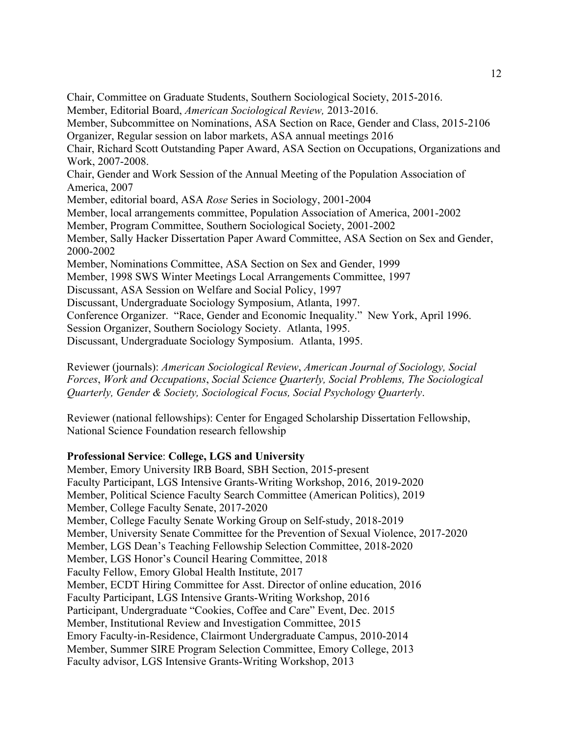Chair, Committee on Graduate Students, Southern Sociological Society, 2015-2016. Member, Editorial Board, *American Sociological Review,* 2013-2016. Member, Subcommittee on Nominations, ASA Section on Race, Gender and Class, 2015-2106 Organizer, Regular session on labor markets, ASA annual meetings 2016 Chair, Richard Scott Outstanding Paper Award, ASA Section on Occupations, Organizations and Work, 2007-2008. Chair, Gender and Work Session of the Annual Meeting of the Population Association of America, 2007 Member, editorial board, ASA *Rose* Series in Sociology, 2001-2004 Member, local arrangements committee, Population Association of America, 2001-2002 Member, Program Committee, Southern Sociological Society, 2001-2002 Member, Sally Hacker Dissertation Paper Award Committee, ASA Section on Sex and Gender, 2000-2002 Member, Nominations Committee, ASA Section on Sex and Gender, 1999 Member, 1998 SWS Winter Meetings Local Arrangements Committee, 1997 Discussant, ASA Session on Welfare and Social Policy, 1997 Discussant, Undergraduate Sociology Symposium, Atlanta, 1997. Conference Organizer. "Race, Gender and Economic Inequality." New York, April 1996. Session Organizer, Southern Sociology Society. Atlanta, 1995. Discussant, Undergraduate Sociology Symposium. Atlanta, 1995.

Reviewer (journals): *American Sociological Review*, *American Journal of Sociology, Social Forces*, *Work and Occupations*, *Social Science Quarterly, Social Problems, The Sociological Quarterly, Gender & Society, Sociological Focus, Social Psychology Quarterly*.

Reviewer (national fellowships): Center for Engaged Scholarship Dissertation Fellowship, National Science Foundation research fellowship

## **Professional Service**: **College, LGS and University**

Member, Emory University IRB Board, SBH Section, 2015-present Faculty Participant, LGS Intensive Grants-Writing Workshop, 2016, 2019-2020 Member, Political Science Faculty Search Committee (American Politics), 2019 Member, College Faculty Senate, 2017-2020 Member, College Faculty Senate Working Group on Self-study, 2018-2019 Member, University Senate Committee for the Prevention of Sexual Violence, 2017-2020 Member, LGS Dean's Teaching Fellowship Selection Committee, 2018-2020 Member, LGS Honor's Council Hearing Committee, 2018 Faculty Fellow, Emory Global Health Institute, 2017 Member, ECDT Hiring Committee for Asst. Director of online education, 2016 Faculty Participant, LGS Intensive Grants-Writing Workshop, 2016 Participant, Undergraduate "Cookies, Coffee and Care" Event, Dec. 2015 Member, Institutional Review and Investigation Committee, 2015 Emory Faculty-in-Residence, Clairmont Undergraduate Campus, 2010-2014 Member, Summer SIRE Program Selection Committee, Emory College, 2013 Faculty advisor, LGS Intensive Grants-Writing Workshop, 2013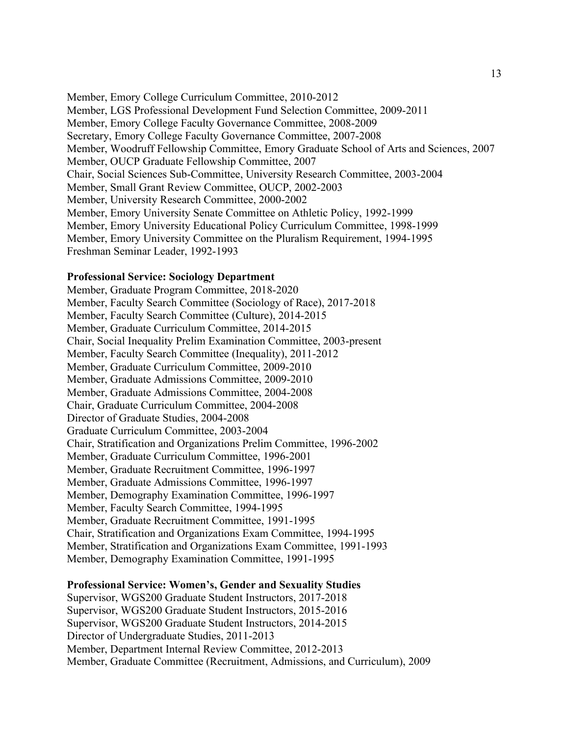Member, Emory College Curriculum Committee, 2010-2012 Member, LGS Professional Development Fund Selection Committee, 2009-2011 Member, Emory College Faculty Governance Committee, 2008-2009 Secretary, Emory College Faculty Governance Committee, 2007-2008 Member, Woodruff Fellowship Committee, Emory Graduate School of Arts and Sciences, 2007 Member, OUCP Graduate Fellowship Committee, 2007 Chair, Social Sciences Sub-Committee, University Research Committee, 2003-2004 Member, Small Grant Review Committee, OUCP, 2002-2003 Member, University Research Committee, 2000-2002 Member, Emory University Senate Committee on Athletic Policy, 1992-1999 Member, Emory University Educational Policy Curriculum Committee, 1998-1999 Member, Emory University Committee on the Pluralism Requirement, 1994-1995 Freshman Seminar Leader, 1992-1993

### **Professional Service: Sociology Department**

Member, Graduate Program Committee, 2018-2020 Member, Faculty Search Committee (Sociology of Race), 2017-2018 Member, Faculty Search Committee (Culture), 2014-2015 Member, Graduate Curriculum Committee, 2014-2015 Chair, Social Inequality Prelim Examination Committee, 2003-present Member, Faculty Search Committee (Inequality), 2011-2012 Member, Graduate Curriculum Committee, 2009-2010 Member, Graduate Admissions Committee, 2009-2010 Member, Graduate Admissions Committee, 2004-2008 Chair, Graduate Curriculum Committee, 2004-2008 Director of Graduate Studies, 2004-2008 Graduate Curriculum Committee, 2003-2004 Chair, Stratification and Organizations Prelim Committee, 1996-2002 Member, Graduate Curriculum Committee, 1996-2001 Member, Graduate Recruitment Committee, 1996-1997 Member, Graduate Admissions Committee, 1996-1997 Member, Demography Examination Committee, 1996-1997 Member, Faculty Search Committee, 1994-1995 Member, Graduate Recruitment Committee, 1991-1995 Chair, Stratification and Organizations Exam Committee, 1994-1995 Member, Stratification and Organizations Exam Committee, 1991-1993 Member, Demography Examination Committee, 1991-1995

#### **Professional Service: Women's, Gender and Sexuality Studies**

Supervisor, WGS200 Graduate Student Instructors, 2017-2018 Supervisor, WGS200 Graduate Student Instructors, 2015-2016 Supervisor, WGS200 Graduate Student Instructors, 2014-2015 Director of Undergraduate Studies, 2011-2013 Member, Department Internal Review Committee, 2012-2013 Member, Graduate Committee (Recruitment, Admissions, and Curriculum), 2009